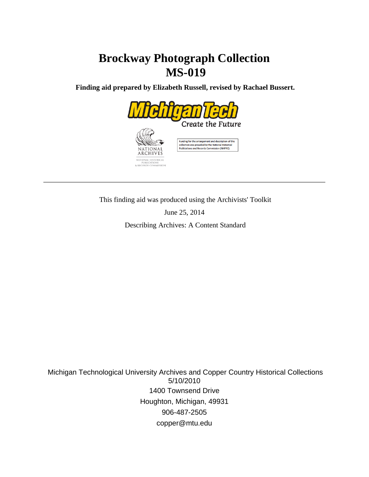# **Brockway Photograph Collection MS-019**

 **Finding aid prepared by Elizabeth Russell, revised by Rachael Bussert.**



This finding aid was produced using the Archivists' Toolkit

June 25, 2014

Describing Archives: A Content Standard

 Michigan Technological University Archives and Copper Country Historical Collections 5/10/2010 1400 Townsend Drive Houghton, Michigan, 49931 906-487-2505 copper@mtu.edu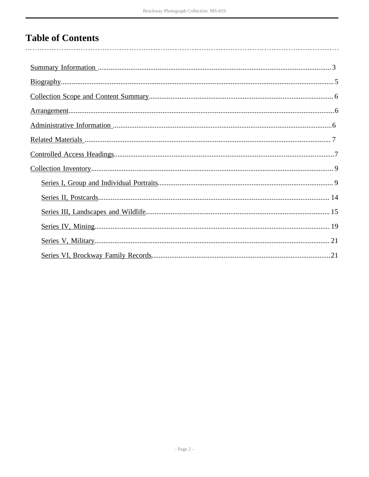# **Table of Contents**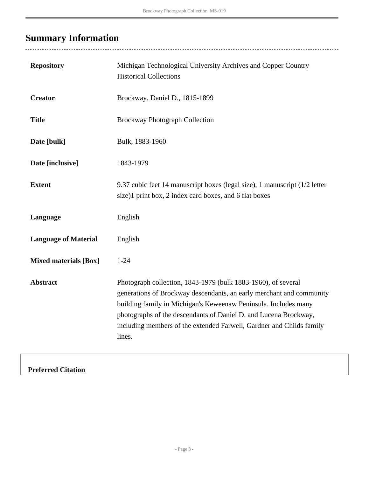# <span id="page-2-0"></span>**Summary Information**

........................

| <b>Repository</b>            | Michigan Technological University Archives and Copper Country<br><b>Historical Collections</b>                                                                                                                                                                                                                                                                 |
|------------------------------|----------------------------------------------------------------------------------------------------------------------------------------------------------------------------------------------------------------------------------------------------------------------------------------------------------------------------------------------------------------|
| <b>Creator</b>               | Brockway, Daniel D., 1815-1899                                                                                                                                                                                                                                                                                                                                 |
| <b>Title</b>                 | <b>Brockway Photograph Collection</b>                                                                                                                                                                                                                                                                                                                          |
| Date [bulk]                  | Bulk, 1883-1960                                                                                                                                                                                                                                                                                                                                                |
| Date [inclusive]             | 1843-1979                                                                                                                                                                                                                                                                                                                                                      |
| <b>Extent</b>                | 9.37 cubic feet 14 manuscript boxes (legal size), 1 manuscript (1/2 letter<br>size)1 print box, 2 index card boxes, and 6 flat boxes                                                                                                                                                                                                                           |
| Language                     | English                                                                                                                                                                                                                                                                                                                                                        |
| <b>Language of Material</b>  | English                                                                                                                                                                                                                                                                                                                                                        |
| <b>Mixed materials [Box]</b> | $1 - 24$                                                                                                                                                                                                                                                                                                                                                       |
| <b>Abstract</b>              | Photograph collection, 1843-1979 (bulk 1883-1960), of several<br>generations of Brockway descendants, an early merchant and community<br>building family in Michigan's Keweenaw Peninsula. Includes many<br>photographs of the descendants of Daniel D. and Lucena Brockway,<br>including members of the extended Farwell, Gardner and Childs family<br>lines. |

# **Preferred Citation**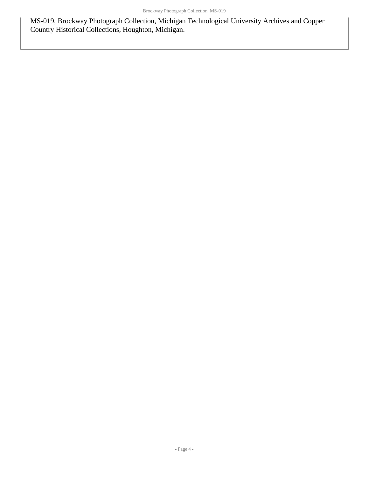MS-019, Brockway Photograph Collection, Michigan Technological University Archives and Copper Country Historical Collections, Houghton, Michigan.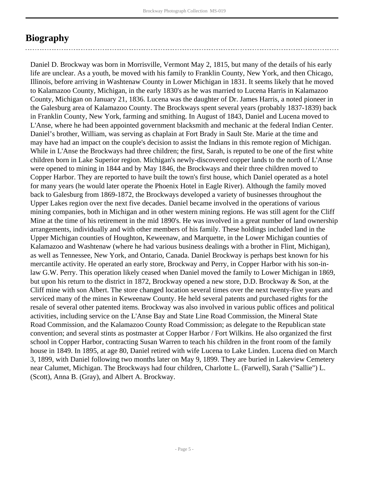# <span id="page-4-0"></span>**Biography**

Daniel D. Brockway was born in Morrisville, Vermont May 2, 1815, but many of the details of his early life are unclear. As a youth, be moved with his family to Franklin County, New York, and then Chicago, Illinois, before arriving in Washtenaw County in Lower Michigan in 1831. It seems likely that he moved to Kalamazoo County, Michigan, in the early 1830's as he was married to Lucena Harris in Kalamazoo County, Michigan on January 21, 1836. Lucena was the daughter of Dr. James Harris, a noted pioneer in the Galesburg area of Kalamazoo County. The Brockways spent several years (probably 1837-1839) back in Franklin County, New York, farming and smithing. In August of 1843, Daniel and Lucena moved to L'Anse, where he had been appointed government blacksmith and mechanic at the federal Indian Center. Daniel's brother, William, was serving as chaplain at Fort Brady in Sault Ste. Marie at the time and may have had an impact on the couple's decision to assist the Indians in this remote region of Michigan. While in L'Anse the Brockways had three children; the first, Sarah, is reputed to be one of the first white children born in Lake Superior region. Michigan's newly-discovered copper lands to the north of L'Anse were opened to mining in 1844 and by May 1846, the Brockways and their three children moved to Copper Harbor. They are reported to have built the town's first house, which Daniel operated as a hotel for many years (he would later operate the Phoenix Hotel in Eagle River). Although the family moved back to Galesburg from 1869-1872, the Brockways developed a variety of businesses throughout the Upper Lakes region over the next five decades. Daniel became involved in the operations of various mining companies, both in Michigan and in other western mining regions. He was still agent for the Cliff Mine at the time of his retirement in the mid 1890's. He was involved in a great number of land ownership arrangements, individually and with other members of his family. These holdings included land in the Upper Michigan counties of Houghton, Keweenaw, and Marquette, in the Lower Michigan counties of Kalamazoo and Washtenaw (where he had various business dealings with a brother in Flint, Michigan), as well as Tennessee, New York, and Ontario, Canada. Daniel Brockway is perhaps best known for his mercantile activity. He operated an early store, Brockway and Perry, in Copper Harbor with his son-inlaw G.W. Perry. This operation likely ceased when Daniel moved the family to Lower Michigan in 1869, but upon his return to the district in 1872, Brockway opened a new store, D.D. Brockway & Son, at the Cliff mine with son Albert. The store changed location several times over the next twenty-five years and serviced many of the mines in Keweenaw County. He held several patents and purchased rights for the resale of several other patented items. Brockway was also involved in various public offices and political activities, including service on the L'Anse Bay and State Line Road Commission, the Mineral State Road Commission, and the Kalamazoo County Road Commission; as delegate to the Republican state convention; and several stints as postmaster at Copper Harbor / Fort Wilkins. He also organized the first school in Copper Harbor, contracting Susan Warren to teach his children in the front room of the family house in 1849. In 1895, at age 80, Daniel retired with wife Lucena to Lake Linden. Lucena died on March 3, 1899, with Daniel following two months later on May 9, 1899. They are buried in Lakeview Cemetery near Calumet, Michigan. The Brockways had four children, Charlotte L. (Farwell), Sarah ("Sallie") L. (Scott), Anna B. (Gray), and Albert A. Brockway.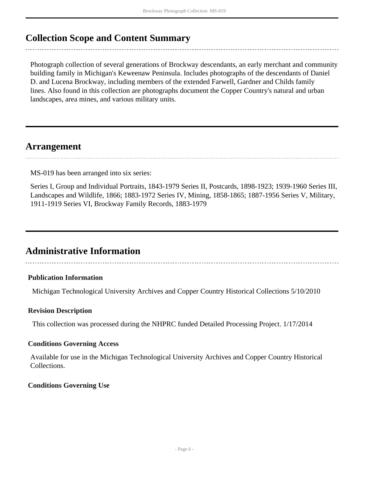# <span id="page-5-0"></span>**Collection Scope and Content Summary**

Photograph collection of several generations of Brockway descendants, an early merchant and community building family in Michigan's Keweenaw Peninsula. Includes photographs of the descendants of Daniel D. and Lucena Brockway, including members of the extended Farwell, Gardner and Childs family lines. Also found in this collection are photographs document the Copper Country's natural and urban landscapes, area mines, and various military units.

# <span id="page-5-1"></span>**Arrangement**

MS-019 has been arranged into six series:

Series I, Group and Individual Portraits, 1843-1979 Series II, Postcards, 1898-1923; 1939-1960 Series III, Landscapes and Wildlife, 1866; 1883-1972 Series IV, Mining, 1858-1865; 1887-1956 Series V, Military, 1911-1919 Series VI, Brockway Family Records, 1883-1979

# <span id="page-5-2"></span>**Administrative Information**

## **Publication Information**

Michigan Technological University Archives and Copper Country Historical Collections 5/10/2010

## **Revision Description**

This collection was processed during the NHPRC funded Detailed Processing Project. 1/17/2014

### **Conditions Governing Access**

Available for use in the Michigan Technological University Archives and Copper Country Historical Collections.

## **Conditions Governing Use**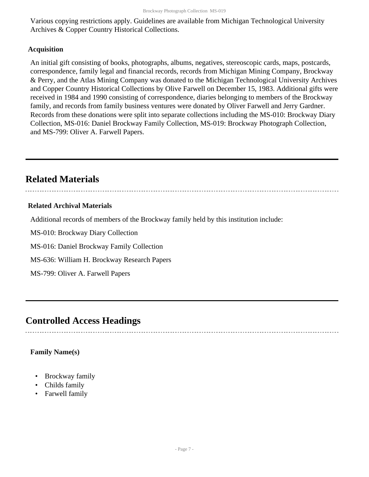Various copying restrictions apply. Guidelines are available from Michigan Technological University Archives & Copper Country Historical Collections.

### **Acquisition**

An initial gift consisting of books, photographs, albums, negatives, stereoscopic cards, maps, postcards, correspondence, family legal and financial records, records from Michigan Mining Company, Brockway & Perry, and the Atlas Mining Company was donated to the Michigan Technological University Archives and Copper Country Historical Collections by Olive Farwell on December 15, 1983. Additional gifts were received in 1984 and 1990 consisting of correspondence, diaries belonging to members of the Brockway family, and records from family business ventures were donated by Oliver Farwell and Jerry Gardner. Records from these donations were split into separate collections including the MS-010: Brockway Diary Collection, MS-016: Daniel Brockway Family Collection, MS-019: Brockway Photograph Collection, and MS-799: Oliver A. Farwell Papers.

# <span id="page-6-0"></span>**Related Materials**

### **Related Archival Materials**

Additional records of members of the Brockway family held by this institution include:

MS-010: Brockway Diary Collection

MS-016: Daniel Brockway Family Collection

MS-636: William H. Brockway Research Papers

MS-799: Oliver A. Farwell Papers

# <span id="page-6-1"></span>**Controlled Access Headings**

### **Family Name(s)**

- Brockway family
- Childs family
- Farwell family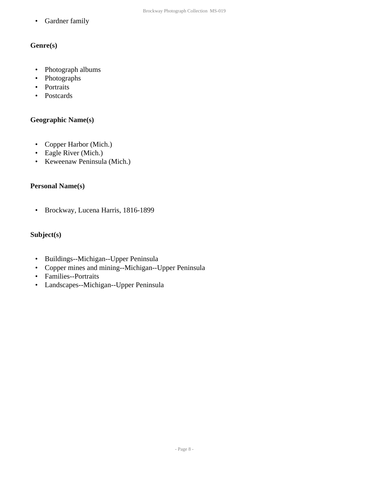• Gardner family

## **Genre(s)**

- Photograph albums
- Photographs
- Portraits
- Postcards

## **Geographic Name(s)**

- Copper Harbor (Mich.)
- Eagle River (Mich.)
- Keweenaw Peninsula (Mich.)

## **Personal Name(s)**

• Brockway, Lucena Harris, 1816-1899

## **Subject(s)**

- Buildings--Michigan--Upper Peninsula
- Copper mines and mining--Michigan--Upper Peninsula
- Families--Portraits
- Landscapes--Michigan--Upper Peninsula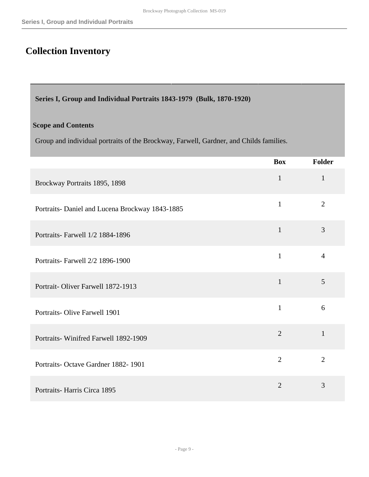# <span id="page-8-0"></span>**Collection Inventory**

<span id="page-8-1"></span>**Series I, Group and Individual Portraits 1843-1979 (Bulk, 1870-1920)**

#### **Scope and Contents**

Group and individual portraits of the Brockway, Farwell, Gardner, and Childs families.

|                                                 | <b>Box</b>     | <b>Folder</b>  |
|-------------------------------------------------|----------------|----------------|
| Brockway Portraits 1895, 1898                   | $\mathbf{1}$   | $\mathbf{1}$   |
| Portraits- Daniel and Lucena Brockway 1843-1885 | $\mathbf{1}$   | $\overline{2}$ |
| Portraits- Farwell 1/2 1884-1896                | $\mathbf{1}$   | $\overline{3}$ |
| Portraits- Farwell 2/2 1896-1900                | $\mathbf{1}$   | $\overline{4}$ |
| Portrait-Oliver Farwell 1872-1913               | $\mathbf{1}$   | 5              |
| <b>Portraits-Olive Farwell 1901</b>             | $\mathbf{1}$   | 6              |
| Portraits-Winifred Farwell 1892-1909            | $\overline{2}$ | $\mathbf{1}$   |
| Portraits-Octave Gardner 1882-1901              | $\overline{2}$ | $\overline{2}$ |
| Portraits-Harris Circa 1895                     | $\overline{2}$ | 3              |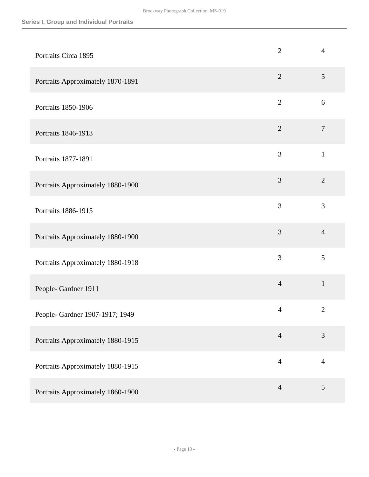| Portraits Circa 1895              | $\overline{2}$ | $\overline{4}$   |
|-----------------------------------|----------------|------------------|
| Portraits Approximately 1870-1891 | $\overline{2}$ | $\mathfrak{S}$   |
| Portraits 1850-1906               | $\overline{2}$ | 6                |
| Portraits 1846-1913               | $\overline{2}$ | $\boldsymbol{7}$ |
| Portraits 1877-1891               | 3              | $\mathbf{1}$     |
| Portraits Approximately 1880-1900 | 3              | $\overline{2}$   |
| Portraits 1886-1915               | 3              | 3                |
| Portraits Approximately 1880-1900 | 3              | $\overline{4}$   |
| Portraits Approximately 1880-1918 | 3              | 5                |
| People-Gardner 1911               | $\overline{4}$ | $\mathbf{1}$     |
| People- Gardner 1907-1917; 1949   | $\overline{4}$ | $\overline{2}$   |
| Portraits Approximately 1880-1915 | $\overline{4}$ | 3                |
| Portraits Approximately 1880-1915 | $\overline{4}$ | $\overline{4}$   |
| Portraits Approximately 1860-1900 | $\overline{4}$ | $\sqrt{5}$       |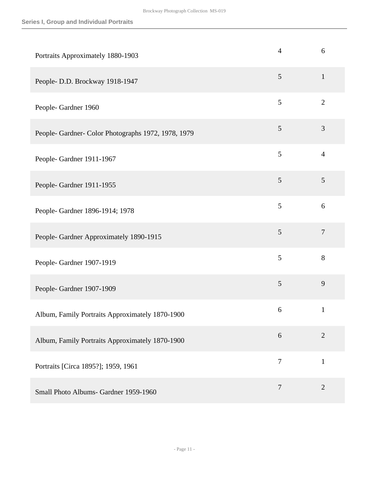| Portraits Approximately 1880-1903                   | $\overline{4}$ | 6                |
|-----------------------------------------------------|----------------|------------------|
| People- D.D. Brockway 1918-1947                     | 5              | $\mathbf{1}$     |
| People-Gardner 1960                                 | 5              | $\overline{2}$   |
| People- Gardner- Color Photographs 1972, 1978, 1979 | 5              | 3                |
| People-Gardner 1911-1967                            | 5              | $\overline{4}$   |
| People-Gardner 1911-1955                            | 5              | 5                |
| People- Gardner 1896-1914; 1978                     | 5              | 6                |
| People- Gardner Approximately 1890-1915             | 5              | $\boldsymbol{7}$ |
| People- Gardner 1907-1919                           | 5              | 8                |
| People- Gardner 1907-1909                           | 5              | 9                |
| Album, Family Portraits Approximately 1870-1900     | 6              | $\mathbf{1}$     |
| Album, Family Portraits Approximately 1870-1900     | 6              | $\overline{2}$   |
| Portraits [Circa 1895?]; 1959, 1961                 | $\overline{7}$ | $\mathbf{1}$     |
| Small Photo Albums- Gardner 1959-1960               | $\overline{7}$ | $\mathbf{2}$     |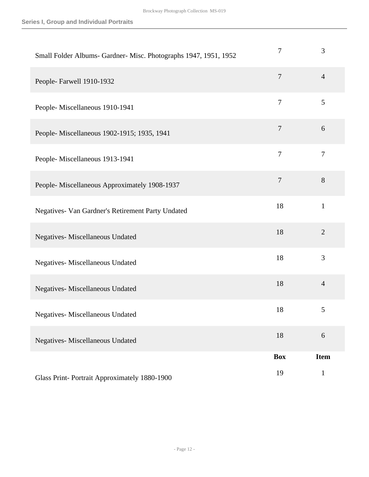| Small Folder Albums- Gardner- Misc. Photographs 1947, 1951, 1952 | 7              | 3              |
|------------------------------------------------------------------|----------------|----------------|
| People-Farwell 1910-1932                                         | $\overline{7}$ | $\overline{4}$ |
| People-Miscellaneous 1910-1941                                   | $\overline{7}$ | 5              |
| People- Miscellaneous 1902-1915; 1935, 1941                      | $\overline{7}$ | 6              |
| People-Miscellaneous 1913-1941                                   | $\overline{7}$ | $\overline{7}$ |
| People- Miscellaneous Approximately 1908-1937                    | $\overline{7}$ | 8              |
| Negatives- Van Gardner's Retirement Party Undated                | 18             | $\mathbf{1}$   |
| Negatives- Miscellaneous Undated                                 | 18             | $\overline{2}$ |
| Negatives- Miscellaneous Undated                                 | 18             | 3              |
| Negatives- Miscellaneous Undated                                 | 18             | $\overline{4}$ |
| Negatives- Miscellaneous Undated                                 | 18             | 5              |
| Negatives- Miscellaneous Undated                                 | 18             | $6\,$          |
|                                                                  | <b>Box</b>     | <b>Item</b>    |
| Glass Print-Portrait Approximately 1880-1900                     | 19             | $\mathbf{1}$   |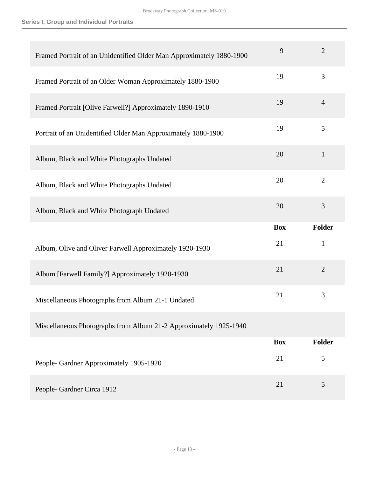| Framed Portrait of an Unidentified Older Man Approximately 1880-1900 | 19         | $\overline{2}$ |
|----------------------------------------------------------------------|------------|----------------|
| Framed Portrait of an Older Woman Approximately 1880-1900            | 19         | 3              |
| Framed Portrait [Olive Farwell?] Approximately 1890-1910             | 19         | $\overline{4}$ |
| Portrait of an Unidentified Older Man Approximately 1880-1900        | 19         | 5              |
| Album, Black and White Photographs Undated                           | 20         | $\mathbf{1}$   |
| Album, Black and White Photographs Undated                           | 20         | $\overline{2}$ |
| Album, Black and White Photograph Undated                            | 20         | 3              |
|                                                                      |            |                |
|                                                                      | <b>Box</b> | <b>Folder</b>  |
| Album, Olive and Oliver Farwell Approximately 1920-1930              | 21         | $\mathbf{1}$   |
| Album [Farwell Family?] Approximately 1920-1930                      | 21         | $\overline{2}$ |
| Miscellaneous Photographs from Album 21-1 Undated                    | 21         | 3              |
| Miscellaneous Photographs from Album 21-2 Approximately 1925-1940    |            |                |
|                                                                      | <b>Box</b> | <b>Folder</b>  |
| People- Gardner Approximately 1905-1920                              | 21         | 5              |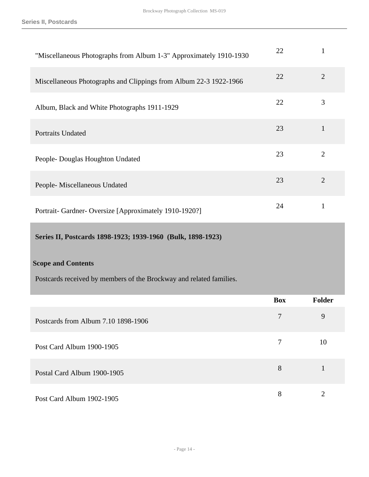**Series II, Postcards**

| "Miscellaneous Photographs from Album 1-3" Approximately 1910-1930  | 22         | $\mathbf{1}$   |
|---------------------------------------------------------------------|------------|----------------|
| Miscellaneous Photographs and Clippings from Album 22-3 1922-1966   | 22         | $\mathfrak{2}$ |
| Album, Black and White Photographs 1911-1929                        | 22         | 3              |
| Portraits Undated                                                   | 23         | $\mathbf{1}$   |
| People- Douglas Houghton Undated                                    | 23         | $\overline{2}$ |
| People- Miscellaneous Undated                                       | 23         | $\overline{2}$ |
| Portrait- Gardner- Oversize [Approximately 1910-1920?]              | 24         | $\mathbf{1}$   |
| Series II, Postcards 1898-1923; 1939-1960 (Bulk, 1898-1923)         |            |                |
| <b>Scope and Contents</b>                                           |            |                |
| Postcards received by members of the Brockway and related families. |            |                |
|                                                                     | <b>Box</b> | <b>Folder</b>  |
| Postcards from Album 7.10 1898-1906                                 | 7          | 9              |
| Post Card Album 1900-1905                                           | $\tau$     | 10             |
|                                                                     |            |                |

<span id="page-13-0"></span>

| Postal Card Album 1900-1905 |  |
|-----------------------------|--|
|                             |  |

Post Card Album 1902-1905 8 2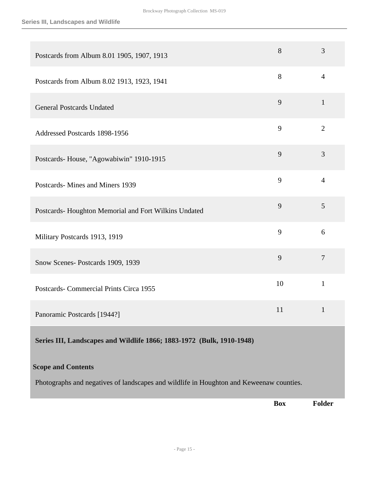| Postcards from Album 8.01 1905, 1907, 1913                            | 8  | 3              |
|-----------------------------------------------------------------------|----|----------------|
| Postcards from Album 8.02 1913, 1923, 1941                            | 8  | $\overline{4}$ |
| <b>General Postcards Undated</b>                                      | 9  | $\mathbf{1}$   |
| Addressed Postcards 1898-1956                                         | 9  | $\overline{2}$ |
| Postcards-House, "Agowabiwin" 1910-1915                               | 9  | 3              |
| Postcards-Mines and Miners 1939                                       | 9  | $\overline{4}$ |
| Postcards-Houghton Memorial and Fort Wilkins Undated                  | 9  | 5              |
| Military Postcards 1913, 1919                                         | 9  | 6              |
| Snow Scenes-Postcards 1909, 1939                                      | 9  | $\overline{7}$ |
| Postcards- Commercial Prints Circa 1955                               | 10 | $\mathbf{1}$   |
| Panoramic Postcards [1944?]                                           | 11 | $\mathbf{1}$   |
| Series III, Landscapes and Wildlife 1866; 1883-1972 (Bulk, 1910-1948) |    |                |

#### <span id="page-14-0"></span>**Scope and Contents**

Photographs and negatives of landscapes and wildlife in Houghton and Keweenaw counties.

**Box Folder**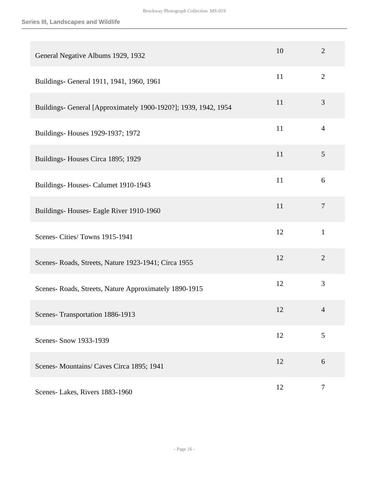| General Negative Albums 1929, 1932                              | 10 | $\overline{2}$ |
|-----------------------------------------------------------------|----|----------------|
| Buildings- General 1911, 1941, 1960, 1961                       | 11 | $\mathbf{2}$   |
| Buildings- General [Approximately 1900-1920?]; 1939, 1942, 1954 | 11 | 3              |
| Buildings- Houses 1929-1937; 1972                               | 11 | $\overline{4}$ |
| Buildings-Houses Circa 1895; 1929                               | 11 | 5              |
| Buildings-Houses-Calumet 1910-1943                              | 11 | 6              |
| Buildings-Houses-Eagle River 1910-1960                          | 11 | $\tau$         |
| Scenes- Cities/ Towns 1915-1941                                 | 12 | $\mathbf{1}$   |
| Scenes-Roads, Streets, Nature 1923-1941; Circa 1955             | 12 | $\overline{2}$ |
| Scenes-Roads, Streets, Nature Approximately 1890-1915           | 12 | 3              |
| Scenes-Transportation 1886-1913                                 | 12 | $\overline{4}$ |
| Scenes- Snow 1933-1939                                          | 12 | 5              |
| Scenes-Mountains/Caves Circa 1895; 1941                         | 12 | 6              |
| Scenes-Lakes, Rivers 1883-1960                                  | 12 | $\tau$         |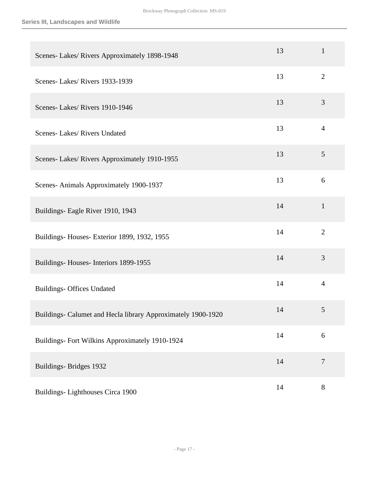| Scenes- Lakes/ Rivers Approximately 1898-1948                | 13 | $\mathbf{1}$   |
|--------------------------------------------------------------|----|----------------|
| Scenes-Lakes/Rivers 1933-1939                                | 13 | $\overline{2}$ |
| Scenes-Lakes/Rivers 1910-1946                                | 13 | 3              |
| Scenes-Lakes/Rivers Undated                                  | 13 | $\overline{4}$ |
| Scenes- Lakes/ Rivers Approximately 1910-1955                | 13 | 5              |
| Scenes-Animals Approximately 1900-1937                       | 13 | 6              |
| Buildings- Eagle River 1910, 1943                            | 14 | $\mathbf{1}$   |
| Buildings-Houses-Exterior 1899, 1932, 1955                   | 14 | $\overline{2}$ |
| Buildings-Houses-Interiors 1899-1955                         | 14 | 3              |
| <b>Buildings- Offices Undated</b>                            | 14 | $\overline{4}$ |
| Buildings- Calumet and Hecla library Approximately 1900-1920 | 14 | 5              |
| Buildings- Fort Wilkins Approximately 1910-1924              | 14 | 6              |
| Buildings-Bridges 1932                                       | 14 | $\overline{7}$ |
| Buildings-Lighthouses Circa 1900                             | 14 | $8\,$          |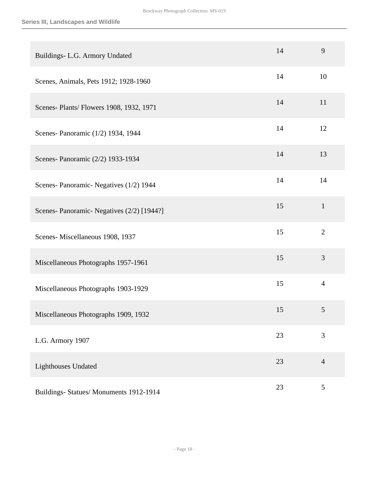| Buildings- L.G. Armory Undated             | 14 | 9              |
|--------------------------------------------|----|----------------|
| Scenes, Animals, Pets 1912; 1928-1960      | 14 | 10             |
| Scenes- Plants/ Flowers 1908, 1932, 1971   | 14 | 11             |
| Scenes- Panoramic (1/2) 1934, 1944         | 14 | 12             |
| Scenes- Panoramic (2/2) 1933-1934          | 14 | 13             |
| Scenes- Panoramic- Negatives (1/2) 1944    | 14 | 14             |
| Scenes- Panoramic- Negatives (2/2) [1944?] | 15 | $\mathbf{1}$   |
| Scenes-Miscellaneous 1908, 1937            | 15 | $\overline{2}$ |
| Miscellaneous Photographs 1957-1961        | 15 | 3              |
| Miscellaneous Photographs 1903-1929        | 15 | $\overline{4}$ |
| Miscellaneous Photographs 1909, 1932       | 15 | 5              |
| L.G. Armory 1907                           | 23 | 3              |
| <b>Lighthouses Undated</b>                 | 23 | $\overline{4}$ |
| Buildings- Statues/ Monuments 1912-1914    | 23 | 5              |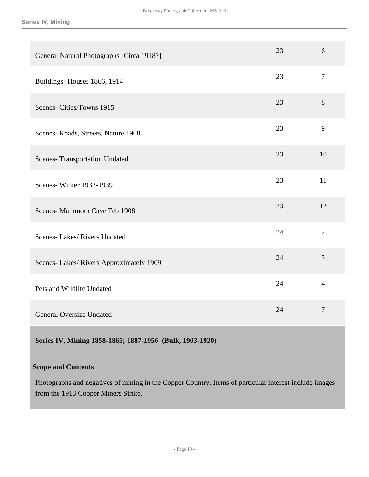| General Natural Photographs [Circa 1918?] | 23 | 6                |
|-------------------------------------------|----|------------------|
| Buildings-Houses 1866, 1914               | 23 | $\boldsymbol{7}$ |
| Scenes-Cities/Towns 1915                  | 23 | 8                |
| Scenes-Roads, Streets, Nature 1908        | 23 | 9                |
| <b>Scenes- Transportation Undated</b>     | 23 | 10               |
| Scenes-Winter 1933-1939                   | 23 | 11               |
| Scenes-Mammoth Cave Feb 1908              | 23 | 12               |
| Scenes-Lakes/Rivers Undated               | 24 | $\overline{2}$   |
| Scenes-Lakes/Rivers Approximately 1909    | 24 | 3                |
| Pets and Wildlife Undated                 | 24 | $\overline{4}$   |
| <b>General Oversize Undated</b>           | 24 | $\overline{7}$   |

<span id="page-18-0"></span>**Series IV, Mining 1858-1865; 1887-1956 (Bulk, 1903-1920)**

#### **Scope and Contents**

Photographs and negatives of mining in the Copper Country. Items of particular interest include images from the 1913 Copper Miners Strike.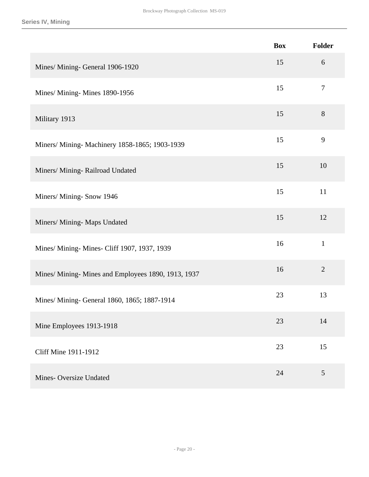|                                                     | <b>Box</b> | Folder         |
|-----------------------------------------------------|------------|----------------|
| Mines/ Mining- General 1906-1920                    | 15         | 6              |
| Mines/ Mining- Mines 1890-1956                      | 15         | $\tau$         |
| Military 1913                                       | 15         | 8              |
| Miners/ Mining- Machinery 1858-1865; 1903-1939      | 15         | 9              |
| Miners/ Mining- Railroad Undated                    | 15         | 10             |
| Miners/ Mining- Snow 1946                           | 15         | 11             |
| Miners/ Mining- Maps Undated                        | 15         | 12             |
| Mines/ Mining- Mines- Cliff 1907, 1937, 1939        | 16         | $\mathbf{1}$   |
| Mines/ Mining- Mines and Employees 1890, 1913, 1937 | 16         | $\overline{2}$ |
| Mines/ Mining- General 1860, 1865; 1887-1914        | 23         | 13             |
| Mine Employees 1913-1918                            | 23         | 14             |
| Cliff Mine 1911-1912                                | 23         | 15             |
| Mines-Oversize Undated                              | 24         | 5              |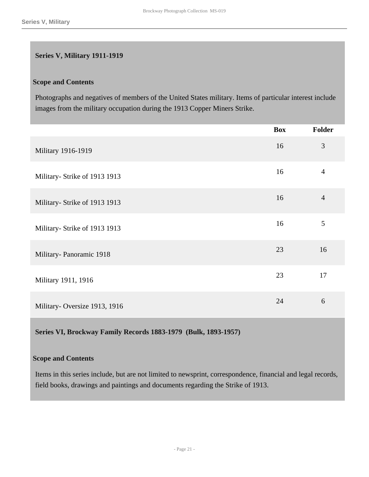#### <span id="page-20-0"></span>**Series V, Military 1911-1919**

#### **Scope and Contents**

Photographs and negatives of members of the United States military. Items of particular interest include images from the military occupation during the 1913 Copper Miners Strike.

|                               | <b>Box</b> | Folder         |
|-------------------------------|------------|----------------|
| Military 1916-1919            | 16         | 3              |
| Military- Strike of 1913 1913 | 16         | $\overline{4}$ |
| Military- Strike of 1913 1913 | 16         | $\overline{4}$ |
| Military- Strike of 1913 1913 | 16         | 5              |
| Military-Panoramic 1918       | 23         | 16             |
| Military 1911, 1916           | 23         | 17             |
| Military-Oversize 1913, 1916  | 24         | 6              |

<span id="page-20-1"></span>**Series VI, Brockway Family Records 1883-1979 (Bulk, 1893-1957)**

#### **Scope and Contents**

Items in this series include, but are not limited to newsprint, correspondence, financial and legal records, field books, drawings and paintings and documents regarding the Strike of 1913.